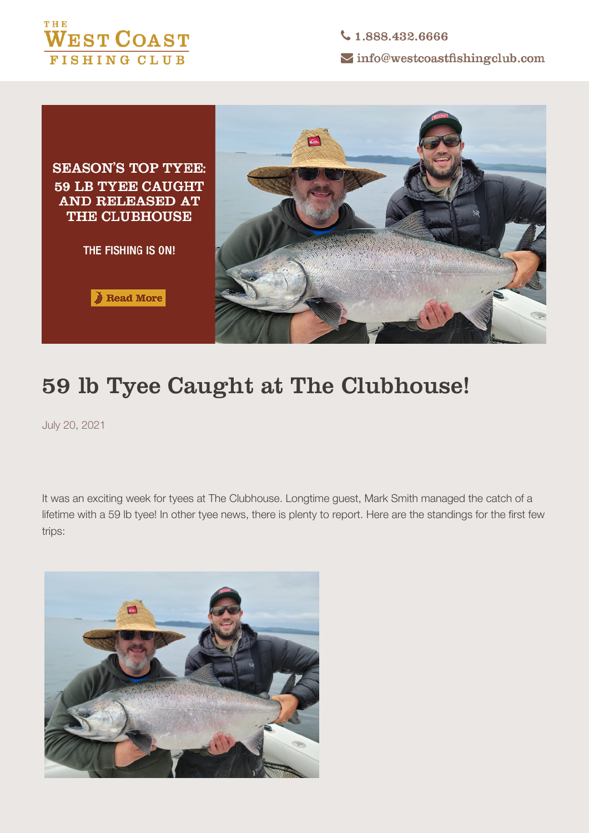



Read More



## **59 lb Tyee Caught at The Clubhouse!**

July 20, 2021

It was an exciting week for tyees at The Clubhouse. Longtime guest, Mark Smith managed the catch of a lifetime with a 59 lb tyee! In other tyee news, there is plenty to report. Here are the standings for the first few trips:

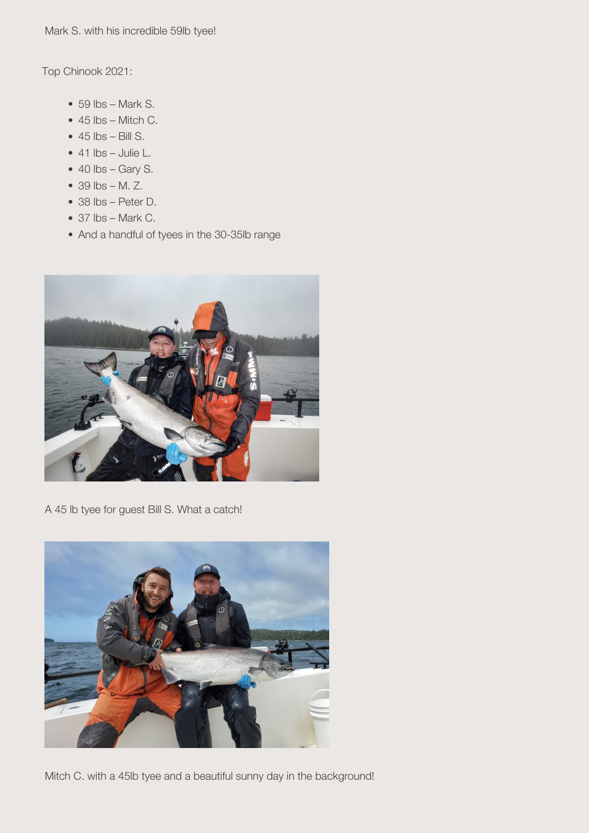*Mark S. with his incredible 59lb tyee!* 

**Top Chinook 2021:**

- $\bullet$  59 lbs Mark S.
- $\bullet$  45 lbs Mitch C.
- $\cdot$  45 lbs Bill S.
- $\bullet$  41 lbs Julie L.
- $\bullet$  40 lbs Gary S.
- 39 lbs M. Z.
- 38 lbs Peter D.
- $\bullet$  37 lbs Mark C.
- And a handful of tyees in the 30-35lb range



*A 45 lb tyee for guest Bill S. What a catch!*



*Mitch C. with a 45lb tyee and a beautiful sunny day in the background!*